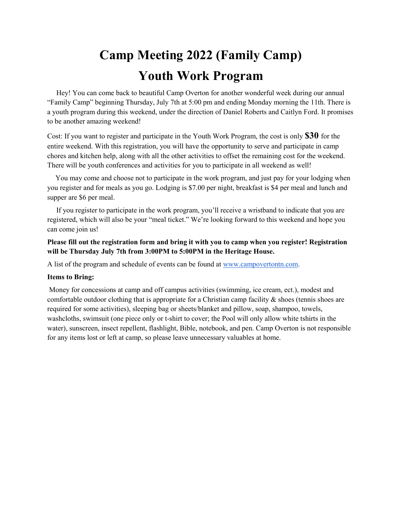## **Camp Meeting 2022 (Family Camp) Youth Work Program**

 Hey! You can come back to beautiful Camp Overton for another wonderful week during our annual "Family Camp" beginning Thursday, July 7th at 5:00 pm and ending Monday morning the 11th. There is a youth program during this weekend, under the direction of Daniel Roberts and Caitlyn Ford. It promises to be another amazing weekend!

Cost: If you want to register and participate in the Youth Work Program, the cost is only **\$30** for the entire weekend. With this registration, you will have the opportunity to serve and participate in camp chores and kitchen help, along with all the other activities to offset the remaining cost for the weekend. There will be youth conferences and activities for you to participate in all weekend as well!

You may come and choose not to participate in the work program, and just pay for your lodging when you register and for meals as you go. Lodging is \$7.00 per night, breakfast is \$4 per meal and lunch and supper are \$6 per meal.

 If you register to participate in the work program, you'll receive a wristband to indicate that you are registered, which will also be your "meal ticket." We're looking forward to this weekend and hope you can come join us!

**Please fill out the registration form and bring it with you to camp when you register! Registration will be Thursday July 7th from 3:00PM to 5:00PM in the Heritage House.**

A list of the program and schedule of events can be found at [www.campovertontn.com.](http://www.campovertontn.com/)

## **Items to Bring:**

Money for concessions at camp and off campus activities (swimming, ice cream, ect.), modest and comfortable outdoor clothing that is appropriate for a Christian camp facility  $\&$  shoes (tennis shoes are required for some activities), sleeping bag or sheets/blanket and pillow, soap, shampoo, towels, washcloths, swimsuit (one piece only or t-shirt to cover; the Pool will only allow white tshirts in the water), sunscreen, insect repellent, flashlight, Bible, notebook, and pen. Camp Overton is not responsible for any items lost or left at camp, so please leave unnecessary valuables at home.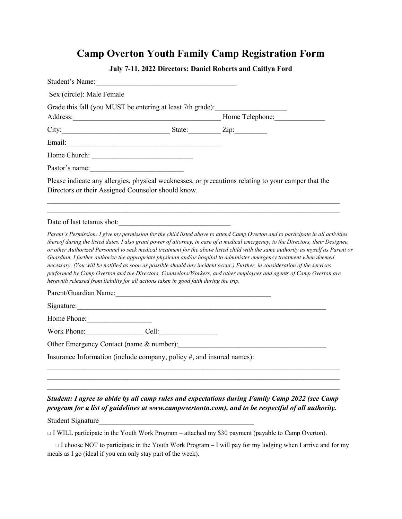## **Camp Overton Youth Family Camp Registration Form**

| Student's Name:                                                                       |                                                                   |                                                                                                                                                                                                                                                                                                                                                                                                                                                                                                                                                                                                                                                       |
|---------------------------------------------------------------------------------------|-------------------------------------------------------------------|-------------------------------------------------------------------------------------------------------------------------------------------------------------------------------------------------------------------------------------------------------------------------------------------------------------------------------------------------------------------------------------------------------------------------------------------------------------------------------------------------------------------------------------------------------------------------------------------------------------------------------------------------------|
| Sex (circle): Male Female                                                             |                                                                   |                                                                                                                                                                                                                                                                                                                                                                                                                                                                                                                                                                                                                                                       |
| Grade this fall (you MUST be entering at least 7th grade):                            |                                                                   |                                                                                                                                                                                                                                                                                                                                                                                                                                                                                                                                                                                                                                                       |
|                                                                                       |                                                                   |                                                                                                                                                                                                                                                                                                                                                                                                                                                                                                                                                                                                                                                       |
| City: $\frac{1}{2}$ State: $\frac{1}{2}$ Zip:                                         |                                                                   |                                                                                                                                                                                                                                                                                                                                                                                                                                                                                                                                                                                                                                                       |
|                                                                                       |                                                                   |                                                                                                                                                                                                                                                                                                                                                                                                                                                                                                                                                                                                                                                       |
|                                                                                       |                                                                   |                                                                                                                                                                                                                                                                                                                                                                                                                                                                                                                                                                                                                                                       |
| Pastor's name: $\frac{1}{2}$                                                          |                                                                   |                                                                                                                                                                                                                                                                                                                                                                                                                                                                                                                                                                                                                                                       |
| Directors or their Assigned Counselor should know.                                    |                                                                   | Please indicate any allergies, physical weaknesses, or precautions relating to your camper that the                                                                                                                                                                                                                                                                                                                                                                                                                                                                                                                                                   |
| Date of last tetanus shot:                                                            |                                                                   | ,我们也不能在这里的人,我们也不能在这里的人,我们也不能在这里的人,我们也不能在这里的人,我们也不能在这里的人,我们也不能在这里的人,我们也不能在这里的人,我们也                                                                                                                                                                                                                                                                                                                                                                                                                                                                                                                                                                     |
| herewith released from liability for all actions taken in good faith during the trip. |                                                                   | thereof during the listed dates. I also grant power of attorney, in case of a medical emergency, to the Directors, their Designee,<br>or other Authorized Personnel to seek medical treatment for the above listed child with the same authority as myself as Parent or<br>Guardian. I further authorize the appropriate physician and/or hospital to administer emergency treatment when deemed<br>necessary. (You will be notified as soon as possible should any incident occur.) Further, in consideration of the services<br>performed by Camp Overton and the Directors, Counselors/Workers, and other employees and agents of Camp Overton are |
|                                                                                       |                                                                   |                                                                                                                                                                                                                                                                                                                                                                                                                                                                                                                                                                                                                                                       |
|                                                                                       |                                                                   |                                                                                                                                                                                                                                                                                                                                                                                                                                                                                                                                                                                                                                                       |
| Home Phone: $\frac{2}{\sqrt{2}}$                                                      |                                                                   |                                                                                                                                                                                                                                                                                                                                                                                                                                                                                                                                                                                                                                                       |
| Work Phone: Cell: Cell:                                                               |                                                                   |                                                                                                                                                                                                                                                                                                                                                                                                                                                                                                                                                                                                                                                       |
| Other Emergency Contact (name & number):                                              |                                                                   |                                                                                                                                                                                                                                                                                                                                                                                                                                                                                                                                                                                                                                                       |
| Insurance Information (include company, policy #, and insured names):                 |                                                                   |                                                                                                                                                                                                                                                                                                                                                                                                                                                                                                                                                                                                                                                       |
|                                                                                       |                                                                   |                                                                                                                                                                                                                                                                                                                                                                                                                                                                                                                                                                                                                                                       |
|                                                                                       |                                                                   |                                                                                                                                                                                                                                                                                                                                                                                                                                                                                                                                                                                                                                                       |
|                                                                                       |                                                                   | Student: I agree to abide by all camp rules and expectations during Family Camp 2022 (see Camp<br>program for a list of guidelines at www.campovertontn.com), and to be respectful of all authority.                                                                                                                                                                                                                                                                                                                                                                                                                                                  |
| <b>Student Signature</b>                                                              | <u> 1980 - Johann John Stone, mars eta biztanleria (h. 1980).</u> |                                                                                                                                                                                                                                                                                                                                                                                                                                                                                                                                                                                                                                                       |
|                                                                                       |                                                                   | $\Box$ I WILL participate in the Youth Work Program – attached my \$30 payment (payable to Camp Overton).                                                                                                                                                                                                                                                                                                                                                                                                                                                                                                                                             |